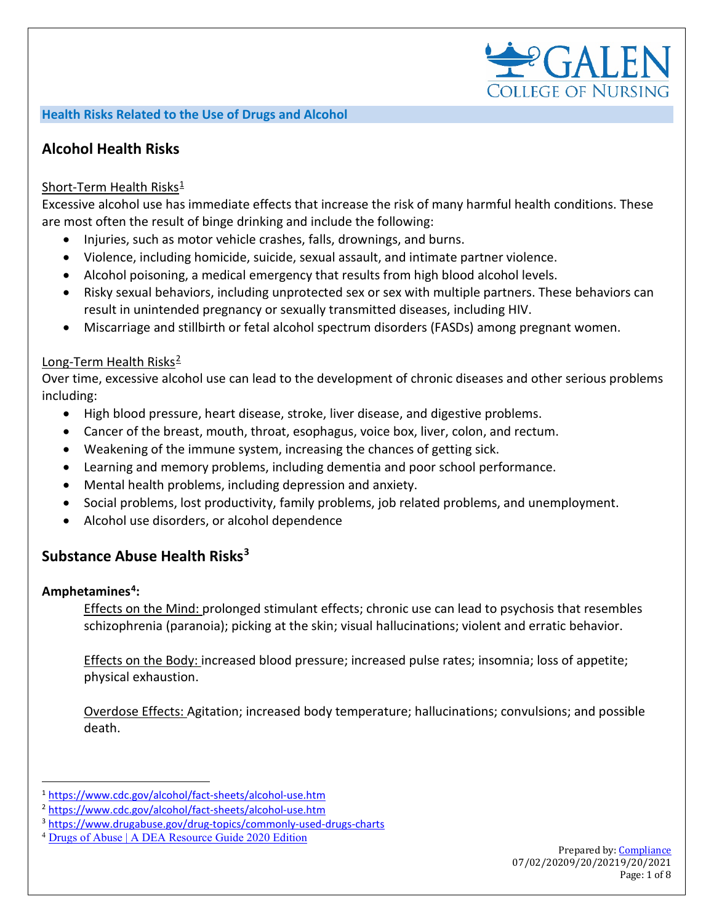

#### **Health Risks Related to the Use of Drugs and Alcohol**

# **Alcohol Health Risks**

#### Short-Term Health Risks $\frac{1}{2}$  $\frac{1}{2}$  $\frac{1}{2}$

Excessive alcohol use has immediate effects that increase the risk of many harmful health conditions. These are most often the result of binge drinking and include the following:

- Injuries, such as motor vehicle crashes, falls, drownings, and burns.
- Violence, including homicide, suicide, sexual assault, and intimate partner violence.
- Alcohol poisoning, a medical emergency that results from high blood alcohol levels.
- Risky sexual behaviors, including unprotected sex or sex with multiple partners. These behaviors can result in unintended pregnancy or sexually transmitted diseases, including HIV.
- Miscarriage and stillbirth or fetal alcohol spectrum disorders (FASDs) among pregnant women.

#### Long-Term Health Risks<sup>[2](#page-0-1)</sup>

Over time, excessive alcohol use can lead to the development of chronic diseases and other serious problems including:

- High blood pressure, heart disease, stroke, liver disease, and digestive problems.
- Cancer of the breast, mouth, throat, esophagus, voice box, liver, colon, and rectum.
- Weakening of the immune system, increasing the chances of getting sick.
- Learning and memory problems, including dementia and poor school performance.
- Mental health problems, including depression and anxiety.
- Social problems, lost productivity, family problems, job related problems, and unemployment.
- Alcohol use disorders, or alcohol dependence

# **Substance Abuse Health Risks[3](#page-0-2)**

#### **Amphetamines[4:](#page-0-3)**

Effects on the Mind: prolonged stimulant effects; chronic use can lead to psychosis that resembles schizophrenia (paranoia); picking at the skin; visual hallucinations; violent and erratic behavior.

Effects on the Body: increased blood pressure; increased pulse rates; insomnia; loss of appetite; physical exhaustion.

Overdose Effects: Agitation; increased body temperature; hallucinations; convulsions; and possible death.

<span id="page-0-0"></span><sup>1</sup> <https://www.cdc.gov/alcohol/fact-sheets/alcohol-use.htm>

<span id="page-0-1"></span><sup>2</sup> <https://www.cdc.gov/alcohol/fact-sheets/alcohol-use.htm>

<span id="page-0-2"></span><sup>3</sup> <https://www.drugabuse.gov/drug-topics/commonly-used-drugs-charts>

<span id="page-0-3"></span><sup>4</sup> [Drugs of Abuse | A DEA Resource Guide 2020 Edition](https://www.dea.gov/sites/default/files/2020-04/Drugs%20of%20Abuse%202020-Web%20Version-508%20compliant-4-24-20_0.pdf)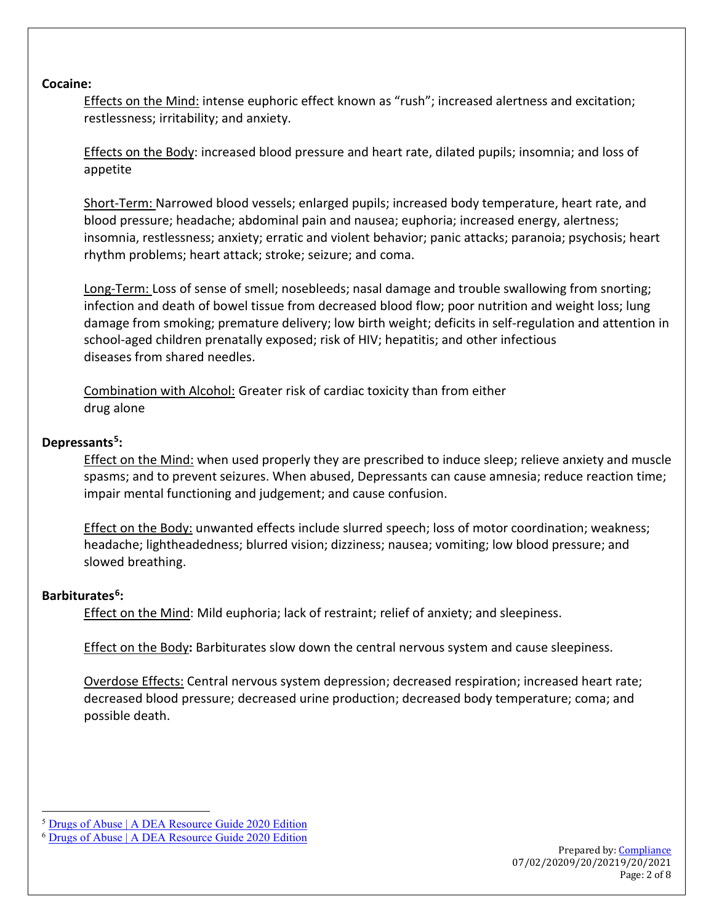#### **Cocaine:**

Effects on the Mind: intense euphoric effect known as "rush"; increased alertness and excitation; restlessness; irritability; and anxiety.

Effects on the Body: increased blood pressure and heart rate, dilated pupils; insomnia; and loss of appetite

Short-Term: Narrowed blood vessels; enlarged pupils; increased body temperature, heart rate, and blood pressure; headache; abdominal pain and nausea; euphoria; increased energy, alertness; insomnia, restlessness; anxiety; erratic and violent behavior; panic attacks; paranoia; psychosis; heart rhythm problems; heart attack; stroke; seizure; and coma.

Long-Term: Loss of sense of smell; nosebleeds; nasal damage and trouble swallowing from snorting; infection and death of bowel tissue from decreased blood flow; poor nutrition and weight loss; lung damage from smoking; premature delivery; low birth weight; deficits in self-regulation and attention in school-aged children prenatally exposed; risk of HIV; hepatitis; and other infectious diseases from shared needles.

Combination with Alcohol: Greater risk of cardiac toxicity than from either drug alone

### **Depressants[5:](#page-1-0)**

Effect on the Mind: when used properly they are prescribed to induce sleep; relieve anxiety and muscle spasms; and to prevent seizures. When abused, Depressants can cause amnesia; reduce reaction time; impair mental functioning and judgement; and cause confusion.

Effect on the Body: unwanted effects include slurred speech; loss of motor coordination; weakness; headache; lightheadedness; blurred vision; dizziness; nausea; vomiting; low blood pressure; and slowed breathing.

### **Barbiturates[6:](#page-1-1)**

**Effect on the Mind:** Mild euphoria; lack of restraint; relief of anxiety; and sleepiness.

Effect on the Body**:** Barbiturates slow down the central nervous system and cause sleepiness.

Overdose Effects: Central nervous system depression; decreased respiration; increased heart rate; decreased blood pressure; decreased urine production; decreased body temperature; coma; and possible death.

<span id="page-1-0"></span><sup>5</sup> [Drugs of Abuse | A DEA Resource Guide 2020 Edition](https://www.dea.gov/sites/default/files/2020-04/Drugs%20of%20Abuse%202020-Web%20Version-508%20compliant-4-24-20_0.pdf)

<span id="page-1-1"></span><sup>6</sup> [Drugs of Abuse | A DEA Resource Guide 2020 Edition](https://www.dea.gov/sites/default/files/2020-04/Drugs%20of%20Abuse%202020-Web%20Version-508%20compliant-4-24-20_0.pdf)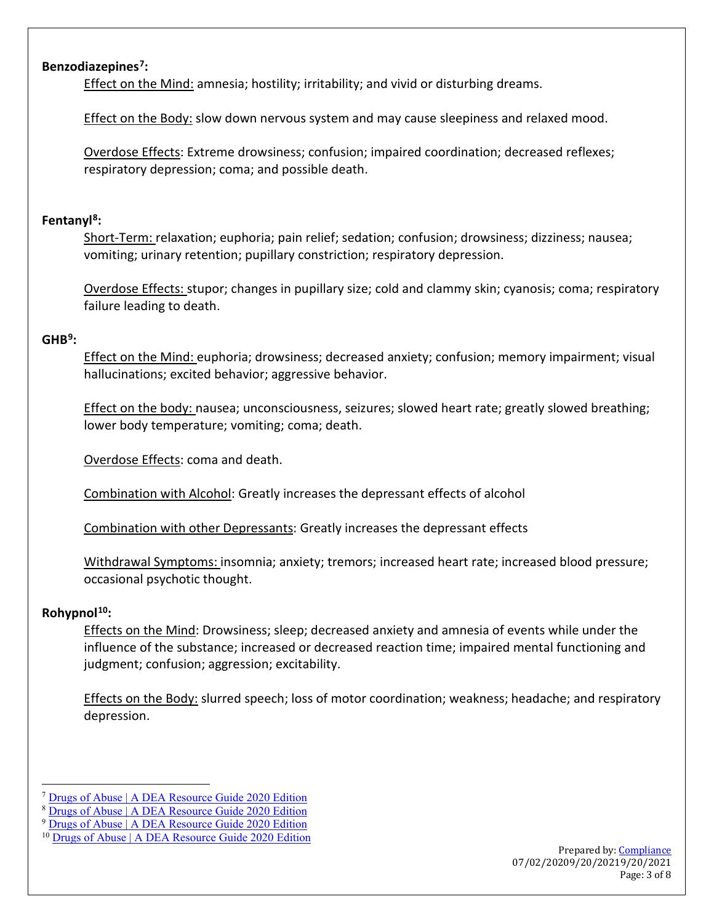# **Benzodiazepines[7:](#page-2-0)**

Effect on the Mind: amnesia; hostility; irritability; and vivid or disturbing dreams.

Effect on the Body: slow down nervous system and may cause sleepiness and relaxed mood.

Overdose Effects: Extreme drowsiness; confusion; impaired coordination; decreased reflexes; respiratory depression; coma; and possible death.

# **Fentanyl[8:](#page-2-1)**

Short-Term: relaxation; euphoria; pain relief; sedation; confusion; drowsiness; dizziness; nausea; vomiting; urinary retention; pupillary constriction; respiratory depression.

Overdose Effects: stupor; changes in pupillary size; cold and clammy skin; cyanosis; coma; respiratory failure leading to death.

# **GHB[9:](#page-2-2)**

Effect on the Mind: euphoria; drowsiness; decreased anxiety; confusion; memory impairment; visual hallucinations; excited behavior; aggressive behavior.

Effect on the body: nausea; unconsciousness, seizures; slowed heart rate; greatly slowed breathing; lower body temperature; vomiting; coma; death.

Overdose Effects: coma and death.

Combination with Alcohol: Greatly increases the depressant effects of alcohol

Combination with other Depressants: Greatly increases the depressant effects

Withdrawal Symptoms: insomnia; anxiety; tremors; increased heart rate; increased blood pressure; occasional psychotic thought.

# **Rohypnol[10](#page-2-3):**

Effects on the Mind: Drowsiness; sleep; decreased anxiety and amnesia of events while under the influence of the substance; increased or decreased reaction time; impaired mental functioning and judgment; confusion; aggression; excitability.

Effects on the Body: slurred speech; loss of motor coordination; weakness; headache; and respiratory depression.

<span id="page-2-2"></span><sup>9</sup> [Drugs of Abuse | A DEA Resource Guide 2020 Edition](https://www.dea.gov/sites/default/files/2020-04/Drugs%20of%20Abuse%202020-Web%20Version-508%20compliant-4-24-20_0.pdf)

<span id="page-2-0"></span><sup>7</sup> [Drugs of Abuse | A DEA Resource Guide 2020 Edition](https://www.dea.gov/sites/default/files/2020-04/Drugs%20of%20Abuse%202020-Web%20Version-508%20compliant-4-24-20_0.pdf)

<span id="page-2-1"></span><sup>8</sup> [Drugs of Abuse | A DEA Resource Guide 2020 Edition](https://www.dea.gov/sites/default/files/2020-04/Drugs%20of%20Abuse%202020-Web%20Version-508%20compliant-4-24-20_0.pdf)

<span id="page-2-3"></span><sup>&</sup>lt;sup>10</sup> [Drugs of Abuse | A DEA Resource Guide 2020 Edition](https://www.dea.gov/sites/default/files/2020-04/Drugs%20of%20Abuse%202020-Web%20Version-508%20compliant-4-24-20_0.pdf)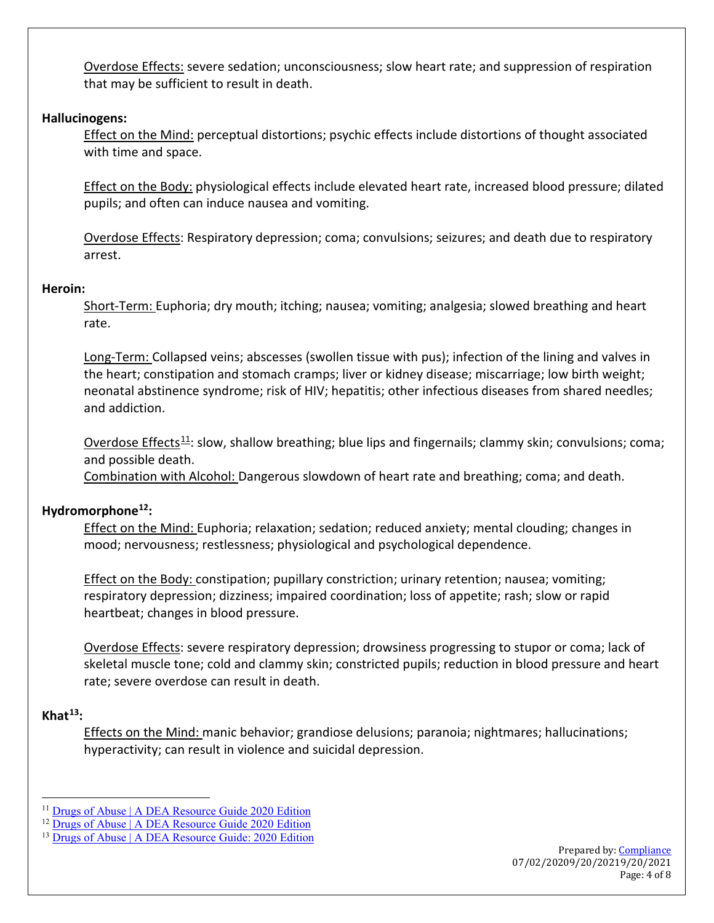Overdose Effects: severe sedation; unconsciousness; slow heart rate; and suppression of respiration that may be sufficient to result in death.

#### **Hallucinogens:**

Effect on the Mind: perceptual distortions; psychic effects include distortions of thought associated with time and space.

Effect on the Body: physiological effects include elevated heart rate, increased blood pressure; dilated pupils; and often can induce nausea and vomiting.

Overdose Effects: Respiratory depression; coma; convulsions; seizures; and death due to respiratory arrest.

#### **Heroin:**

Short-Term: Euphoria; dry mouth; itching; nausea; vomiting; analgesia; slowed breathing and heart rate.

Long-Term: Collapsed veins; abscesses (swollen tissue with pus); infection of the lining and valves in the heart; constipation and stomach cramps; liver or kidney disease; miscarriage; low birth weight; neonatal abstinence syndrome; risk of HIV; hepatitis; other infectious diseases from shared needles; and addiction.

Overdose Effects<sup>[11](#page-3-0)</sup>: slow, shallow breathing; blue lips and fingernails; clammy skin; convulsions; coma; and possible death.

Combination with Alcohol: Dangerous slowdown of heart rate and breathing; coma; and death.

### **Hydromorphone[12](#page-3-1):**

Effect on the Mind: Euphoria; relaxation; sedation; reduced anxiety; mental clouding; changes in mood; nervousness; restlessness; physiological and psychological dependence.

Effect on the Body: constipation; pupillary constriction; urinary retention; nausea; vomiting; respiratory depression; dizziness; impaired coordination; loss of appetite; rash; slow or rapid heartbeat; changes in blood pressure.

Overdose Effects: severe respiratory depression; drowsiness progressing to stupor or coma; lack of skeletal muscle tone; cold and clammy skin; constricted pupils; reduction in blood pressure and heart rate; severe overdose can result in death.

### **Khat[13:](#page-3-2)**

Effects on the Mind: manic behavior; grandiose delusions; paranoia; nightmares; hallucinations; hyperactivity; can result in violence and suicidal depression.

<span id="page-3-0"></span><sup>&</sup>lt;sup>11</sup> [Drugs of Abuse | A DEA Resource Guide 2020 Edition](https://www.dea.gov/sites/default/files/2020-04/Drugs%20of%20Abuse%202020-Web%20Version-508%20compliant-4-24-20_0.pdf)

<span id="page-3-1"></span><sup>&</sup>lt;sup>12</sup> [Drugs of Abuse | A DEA Resource Guide 2020 Edition](https://www.dea.gov/sites/default/files/2020-04/Drugs%20of%20Abuse%202020-Web%20Version-508%20compliant-4-24-20_0.pdf)

<span id="page-3-2"></span><sup>&</sup>lt;sup>13</sup> [Drugs of Abuse | A DEA Resource Guide: 2020 Edition](https://www.dea.gov/sites/default/files/2020-04/Drugs%20of%20Abuse%202020-Web%20Version-508%20compliant-4-24-20_0.pdf)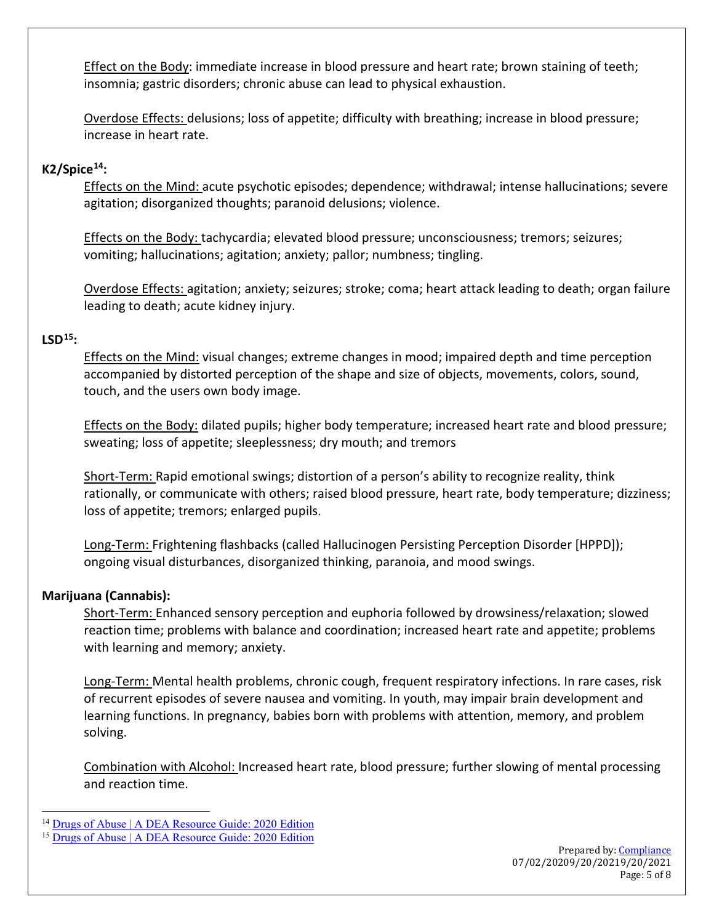Effect on the Body: immediate increase in blood pressure and heart rate; brown staining of teeth; insomnia; gastric disorders; chronic abuse can lead to physical exhaustion.

Overdose Effects: delusions; loss of appetite; difficulty with breathing; increase in blood pressure; increase in heart rate.

# **K2/Spic[e14:](#page-4-0)**

Effects on the Mind: acute psychotic episodes; dependence; withdrawal; intense hallucinations; severe agitation; disorganized thoughts; paranoid delusions; violence.

Effects on the Body: tachycardia; elevated blood pressure; unconsciousness; tremors; seizures; vomiting; hallucinations; agitation; anxiety; pallor; numbness; tingling.

Overdose Effects: agitation; anxiety; seizures; stroke; coma; heart attack leading to death; organ failure leading to death; acute kidney injury.

# **LSD[15](#page-4-1):**

Effects on the Mind: visual changes; extreme changes in mood; impaired depth and time perception accompanied by distorted perception of the shape and size of objects, movements, colors, sound, touch, and the users own body image.

Effects on the Body: dilated pupils; higher body temperature; increased heart rate and blood pressure; sweating; loss of appetite; sleeplessness; dry mouth; and tremors

Short-Term: Rapid emotional swings; distortion of a person's ability to recognize reality, think rationally, or communicate with others; raised blood pressure, heart rate, body temperature; dizziness; loss of appetite; tremors; enlarged pupils.

Long-Term: Frightening flashbacks (called Hallucinogen Persisting Perception Disorder [HPPD]); ongoing visual disturbances, disorganized thinking, paranoia, and mood swings.

### **Marijuana (Cannabis):**

Short-Term: Enhanced sensory perception and euphoria followed by drowsiness/relaxation; slowed reaction time; problems with balance and coordination; increased heart rate and appetite; problems with learning and memory; anxiety.

Long-Term: Mental health problems, chronic cough, frequent respiratory infections. In rare cases, risk of recurrent episodes of severe nausea and vomiting. In youth, may impair brain development and learning functions. In pregnancy, babies born with problems with attention, memory, and problem solving.

Combination with Alcohol: Increased heart rate, blood pressure; further slowing of mental processing and reaction time.

<span id="page-4-0"></span><sup>&</sup>lt;sup>14</sup> [Drugs of Abuse | A DEA Resource Guide: 2020 Edition](https://www.dea.gov/sites/default/files/2020-04/Drugs%20of%20Abuse%202020-Web%20Version-508%20compliant-4-24-20_0.pdf)

<span id="page-4-1"></span><sup>&</sup>lt;sup>15</sup> [Drugs of Abuse | A DEA Resource Guide: 2020 Edition](https://www.dea.gov/sites/default/files/2020-04/Drugs%20of%20Abuse%202020-Web%20Version-508%20compliant-4-24-20_0.pdf)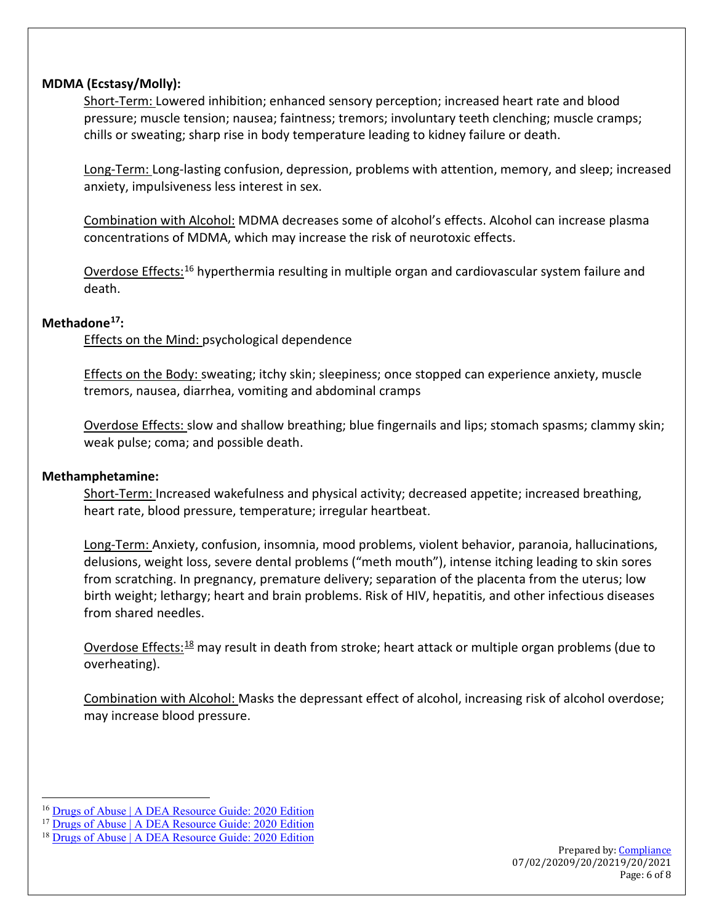### **MDMA (Ecstasy/Molly):**

Short-Term: Lowered inhibition; enhanced sensory perception; increased heart rate and blood pressure; muscle tension; nausea; faintness; tremors; involuntary teeth clenching; muscle cramps; chills or sweating; sharp rise in body temperature leading to kidney failure or death.

Long-Term: Long-lasting confusion, depression, problems with attention, memory, and sleep; increased anxiety, impulsiveness less interest in sex.

Combination with Alcohol: MDMA decreases some of alcohol's effects. Alcohol can increase plasma concentrations of MDMA, which may increase the risk of neurotoxic effects.

Overdose Effects:[16](#page-5-0) hyperthermia resulting in multiple organ and cardiovascular system failure and death.

# **Methadone[17](#page-5-1):**

**Effects on the Mind: psychological dependence** 

Effects on the Body: sweating; itchy skin; sleepiness; once stopped can experience anxiety, muscle tremors, nausea, diarrhea, vomiting and abdominal cramps

Overdose Effects: slow and shallow breathing; blue fingernails and lips; stomach spasms; clammy skin; weak pulse; coma; and possible death.

# **Methamphetamine:**

Short-Term: Increased wakefulness and physical activity; decreased appetite; increased breathing, heart rate, blood pressure, temperature; irregular heartbeat.

Long-Term: Anxiety, confusion, insomnia, mood problems, violent behavior, paranoia, hallucinations, delusions, weight loss, severe dental problems ("meth mouth"), intense itching leading to skin sores from scratching. In pregnancy, premature delivery; separation of the placenta from the uterus; low birth weight; lethargy; heart and brain problems. Risk of HIV, hepatitis, and other infectious diseases from shared needles.

Overdose Effects:<sup>[18](#page-5-2)</sup> may result in death from stroke; heart attack or multiple organ problems (due to overheating).

Combination with Alcohol: Masks the depressant effect of alcohol, increasing risk of alcohol overdose; may increase blood pressure.

<span id="page-5-0"></span><sup>&</sup>lt;sup>16</sup> [Drugs of Abuse | A DEA Resource Guide: 2020 Edition](https://www.dea.gov/sites/default/files/2020-04/Drugs%20of%20Abuse%202020-Web%20Version-508%20compliant-4-24-20_0.pdf)

<span id="page-5-1"></span><sup>&</sup>lt;sup>17</sup> [Drugs of Abuse | A DEA Resource Guide: 2020 Edition](https://www.dea.gov/sites/default/files/2020-04/Drugs%20of%20Abuse%202020-Web%20Version-508%20compliant-4-24-20_0.pdf)

<span id="page-5-2"></span><sup>&</sup>lt;sup>18</sup> [Drugs of Abuse | A DEA Resource Guide: 2020 Edition](https://www.dea.gov/sites/default/files/2020-04/Drugs%20of%20Abuse%202020-Web%20Version-508%20compliant-4-24-20_0.pdf)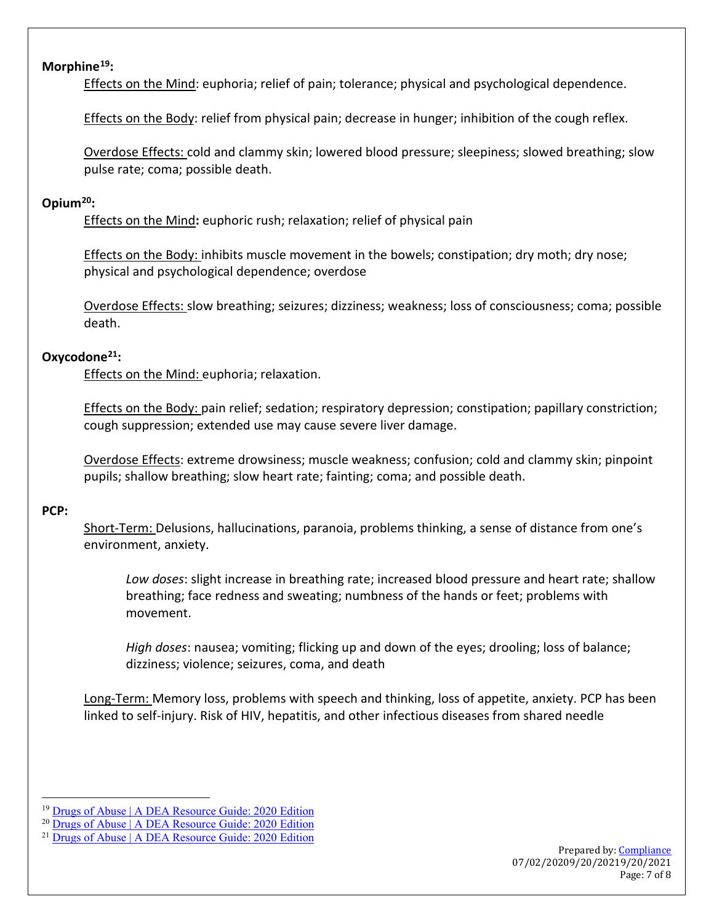# **Morphine[19](#page-6-0):**

Effects on the Mind: euphoria; relief of pain; tolerance; physical and psychological dependence.

Effects on the Body: relief from physical pain; decrease in hunger; inhibition of the cough reflex.

Overdose Effects: cold and clammy skin; lowered blood pressure; sleepiness; slowed breathing; slow pulse rate; coma; possible death.

# **Opium[20](#page-6-1):**

Effects on the Mind**:** euphoric rush; relaxation; relief of physical pain

Effects on the Body: inhibits muscle movement in the bowels; constipation; dry moth; dry nose; physical and psychological dependence; overdose

Overdose Effects: slow breathing; seizures; dizziness; weakness; loss of consciousness; coma; possible death.

# **Oxycodone[21:](#page-6-2)**

Effects on the Mind: euphoria; relaxation.

Effects on the Body: pain relief; sedation; respiratory depression; constipation; papillary constriction; cough suppression; extended use may cause severe liver damage.

Overdose Effects: extreme drowsiness; muscle weakness; confusion; cold and clammy skin; pinpoint pupils; shallow breathing; slow heart rate; fainting; coma; and possible death.

### **PCP:**

Short-Term: Delusions, hallucinations, paranoia, problems thinking, a sense of distance from one's environment, anxiety.

*Low doses*: slight increase in breathing rate; increased blood pressure and heart rate; shallow breathing; face redness and sweating; numbness of the hands or feet; problems with movement.

*High doses*: nausea; vomiting; flicking up and down of the eyes; drooling; loss of balance; dizziness; violence; seizures, coma, and death

Long-Term: Memory loss, problems with speech and thinking, loss of appetite, anxiety. PCP has been linked to self-injury. Risk of HIV, hepatitis, and other infectious diseases from shared needle

<span id="page-6-0"></span><sup>19</sup> [Drugs of Abuse | A DEA Resource Guide: 2020 Edition](https://www.dea.gov/sites/default/files/2020-04/Drugs%20of%20Abuse%202020-Web%20Version-508%20compliant-4-24-20_0.pdf)

<span id="page-6-1"></span><sup>20</sup> [Drugs of Abuse | A DEA Resource Guide: 2020 Edition](https://www.dea.gov/sites/default/files/2020-04/Drugs%20of%20Abuse%202020-Web%20Version-508%20compliant-4-24-20_0.pdf)

<span id="page-6-2"></span><sup>&</sup>lt;sup>21</sup> [Drugs of Abuse | A DEA Resource Guide: 2020 Edition](https://www.dea.gov/sites/default/files/2020-04/Drugs%20of%20Abuse%202020-Web%20Version-508%20compliant-4-24-20_0.pdf)